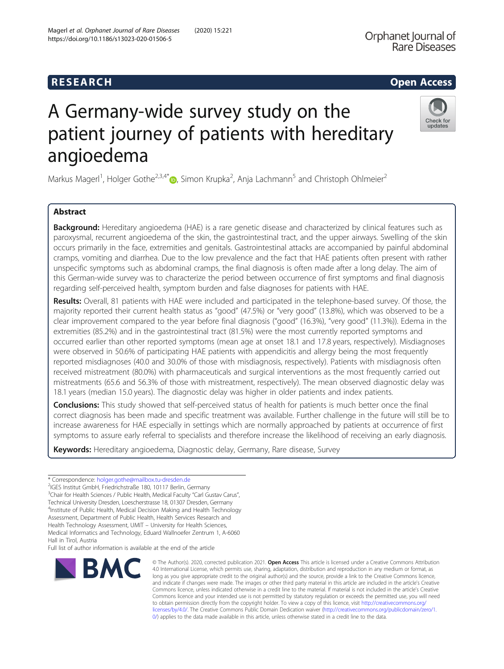# **RESEARCH CHILD CONTROL** CONTROL CONTROL CONTROL CONTROL CONTROL CONTROL CONTROL CONTROL CONTROL CONTROL CONTROL CONTROL CONTROL CONTROL CONTROL CONTROL CONTROL CONTROL CONTROL CONTROL CONTROL CONTROL CONTROL CONTROL CONTR

# A Germany-wide survey study on the patient journey of patients with hereditary angioedema

Markus Magerl<sup>1</sup>, Holger Gothe<sup>2,3,4[\\*](http://orcid.org/0000-0003-0425-3788)</sup> , Simon Krupka<sup>2</sup>, Anja Lachmann<sup>5</sup> and Christoph Ohlmeier<sup>2</sup>

# Abstract

Background: Hereditary angioedema (HAE) is a rare genetic disease and characterized by clinical features such as paroxysmal, recurrent angioedema of the skin, the gastrointestinal tract, and the upper airways. Swelling of the skin occurs primarily in the face, extremities and genitals. Gastrointestinal attacks are accompanied by painful abdominal cramps, vomiting and diarrhea. Due to the low prevalence and the fact that HAE patients often present with rather unspecific symptoms such as abdominal cramps, the final diagnosis is often made after a long delay. The aim of this German-wide survey was to characterize the period between occurrence of first symptoms and final diagnosis regarding self-perceived health, symptom burden and false diagnoses for patients with HAE.

Results: Overall, 81 patients with HAE were included and participated in the telephone-based survey. Of those, the majority reported their current health status as "good" (47.5%) or "very good" (13.8%), which was observed to be a clear improvement compared to the year before final diagnosis ("good" (16.3%), "very good" (11.3%)). Edema in the extremities (85.2%) and in the gastrointestinal tract (81.5%) were the most currently reported symptoms and occurred earlier than other reported symptoms (mean age at onset 18.1 and 17.8 years, respectively). Misdiagnoses were observed in 50.6% of participating HAE patients with appendicitis and allergy being the most frequently reported misdiagnoses (40.0 and 30.0% of those with misdiagnosis, respectively). Patients with misdiagnosis often received mistreatment (80.0%) with pharmaceuticals and surgical interventions as the most frequently carried out mistreatments (65.6 and 56.3% of those with mistreatment, respectively). The mean observed diagnostic delay was 18.1 years (median 15.0 years). The diagnostic delay was higher in older patients and index patients.

Conclusions: This study showed that self-perceived status of health for patients is much better once the final correct diagnosis has been made and specific treatment was available. Further challenge in the future will still be to increase awareness for HAE especially in settings which are normally approached by patients at occurrence of first symptoms to assure early referral to specialists and therefore increase the likelihood of receiving an early diagnosis.

Keywords: Hereditary angioedema, Diagnostic delay, Germany, Rare disease, Survey

Technical University Dresden, Loescherstrasse 18, 01307 Dresden, Germany

4 Institute of Public Health, Medical Decision Making and Health Technology

Health Technology Assessment, UMIT – University for Health Sciences,

Medical Informatics and Technology, Eduard Wallnoefer Zentrum 1, A-6060 Hall in Tirol, Austria

Full list of author information is available at the end of the article

[0/\)](http://creativecommons.org/publicdomain/zero/1.0/) applies to the data made available in this article, unless otherwise stated in a credit line to the data.

[licenses/by/4.0/.](http://creativecommons.org/licenses/by/4.0/) The Creative Commons Public Domain Dedication waiver ([http://creativecommons.org/publicdomain/zero/1.](http://creativecommons.org/publicdomain/zero/1.0/)





<sup>\*</sup> Correspondence: [holger.gothe@mailbox.tu-dresden.de](mailto:holger.gothe@mailbox.tu-dresden.de) <sup>2</sup>

<sup>&</sup>lt;sup>2</sup>IGES Institut GmbH, Friedrichstraße 180, 10117 Berlin, Germany

<sup>&</sup>lt;sup>3</sup>Chair for Health Sciences / Public Health, Medical Faculty "Carl Gustav Carus",

Assessment, Department of Public Health, Health Services Research and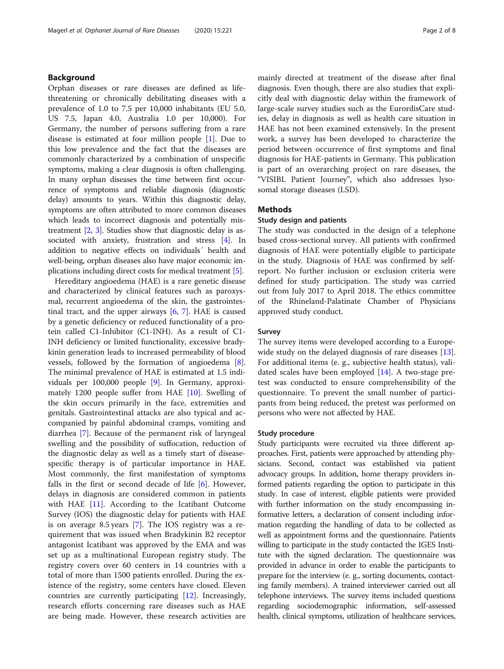# Background

Orphan diseases or rare diseases are defined as lifethreatening or chronically debilitating diseases with a prevalence of 1.0 to 7.5 per 10,000 inhabitants (EU 5.0, US 7.5, Japan 4.0, Australia 1.0 per 10,000). For Germany, the number of persons suffering from a rare disease is estimated at four million people [\[1](#page-7-0)]. Due to this low prevalence and the fact that the diseases are commonly characterized by a combination of unspecific symptoms, making a clear diagnosis is often challenging. In many orphan diseases the time between first occurrence of symptoms and reliable diagnosis (diagnostic delay) amounts to years. Within this diagnostic delay, symptoms are often attributed to more common diseases which leads to incorrect diagnosis and potentially mistreatment [\[2](#page-7-0), [3\]](#page-7-0). Studies show that diagnostic delay is associated with anxiety, frustration and stress [\[4](#page-7-0)]. In addition to negative effects on individuals´ health and well-being, orphan diseases also have major economic implications including direct costs for medical treatment [\[5](#page-7-0)].

Hereditary angioedema (HAE) is a rare genetic disease and characterized by clinical features such as paroxysmal, recurrent angioedema of the skin, the gastrointestinal tract, and the upper airways [[6,](#page-7-0) [7\]](#page-7-0). HAE is caused by a genetic deficiency or reduced functionality of a protein called C1-Inhibitor (C1-INH). As a result of C1- INH deficiency or limited functionality, excessive bradykinin generation leads to increased permeability of blood vessels, followed by the formation of angioedema [\[8](#page-7-0)]. The minimal prevalence of HAE is estimated at 1.5 individuals per 100,000 people [\[9](#page-7-0)]. In Germany, approximately 1200 people suffer from HAE [\[10\]](#page-7-0). Swelling of the skin occurs primarily in the face, extremities and genitals. Gastrointestinal attacks are also typical and accompanied by painful abdominal cramps, vomiting and diarrhea [\[7](#page-7-0)]. Because of the permanent risk of laryngeal swelling and the possibility of suffocation, reduction of the diagnostic delay as well as a timely start of diseasespecific therapy is of particular importance in HAE. Most commonly, the first manifestation of symptoms falls in the first or second decade of life [\[6](#page-7-0)]. However, delays in diagnosis are considered common in patients with HAE [\[11\]](#page-7-0). According to the Icatibant Outcome Survey (IOS) the diagnostic delay for patients with HAE is on average 8.5 years [[7\]](#page-7-0). The IOS registry was a requirement that was issued when Bradykinin B2 receptor antagonist Icatibant was approved by the EMA and was set up as a multinational European registry study. The registry covers over 60 centers in 14 countries with a total of more than 1500 patients enrolled. During the existence of the registry, some centers have closed. Eleven countries are currently participating [\[12\]](#page-7-0). Increasingly, research efforts concerning rare diseases such as HAE are being made. However, these research activities are mainly directed at treatment of the disease after final diagnosis. Even though, there are also studies that explicitly deal with diagnostic delay within the framework of large-scale survey studies such as the EurordisCare studies, delay in diagnosis as well as health care situation in HAE has not been examined extensively. In the present work, a survey has been developed to characterize the period between occurrence of first symptoms and final diagnosis for HAE-patients in Germany. This publication is part of an overarching project on rare diseases, the "VISIBL Patient Journey", which also addresses lysosomal storage diseases (LSD).

# Methods

#### Study design and patients

The study was conducted in the design of a telephone based cross-sectional survey. All patients with confirmed diagnosis of HAE were potentially eligible to participate in the study. Diagnosis of HAE was confirmed by selfreport. No further inclusion or exclusion criteria were defined for study participation. The study was carried out from July 2017 to April 2018. The ethics committee of the Rhineland-Palatinate Chamber of Physicians approved study conduct.

# Survey

The survey items were developed according to a Europe-wide study on the delayed diagnosis of rare diseases [\[13](#page-7-0)]. For additional items (e. g., subjective health status), validated scales have been employed [\[14](#page-7-0)]. A two-stage pretest was conducted to ensure comprehensibility of the questionnaire. To prevent the small number of participants from being reduced, the pretest was performed on persons who were not affected by HAE.

# Study procedure

Study participants were recruited via three different approaches. First, patients were approached by attending physicians. Second, contact was established via patient advocacy groups. In addition, home therapy providers informed patients regarding the option to participate in this study. In case of interest, eligible patients were provided with further information on the study encompassing informative letters, a declaration of consent including information regarding the handling of data to be collected as well as appointment forms and the questionnaire. Patients willing to participate in the study contacted the IGES Institute with the signed declaration. The questionnaire was provided in advance in order to enable the participants to prepare for the interview (e. g., sorting documents, contacting family members). A trained interviewer carried out all telephone interviews. The survey items included questions regarding sociodemographic information, self-assessed health, clinical symptoms, utilization of healthcare services,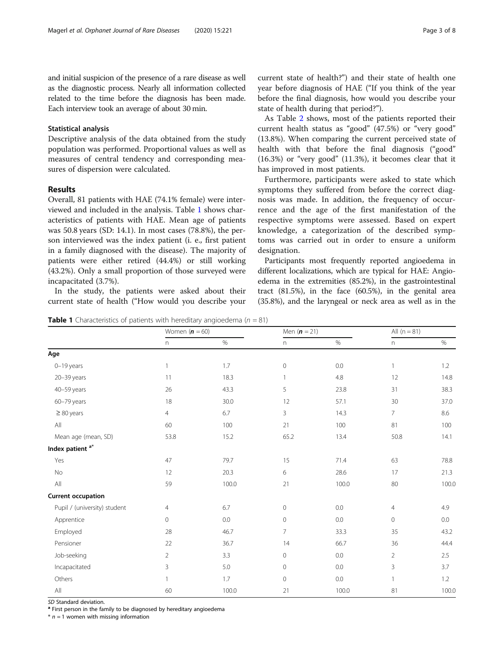and initial suspicion of the presence of a rare disease as well as the diagnostic process. Nearly all information collected related to the time before the diagnosis has been made. Each interview took an average of about 30 min.

# Statistical analysis

Descriptive analysis of the data obtained from the study population was performed. Proportional values as well as measures of central tendency and corresponding measures of dispersion were calculated.

# Results

Overall, 81 patients with HAE (74.1% female) were interviewed and included in the analysis. Table 1 shows characteristics of patients with HAE. Mean age of patients was 50.8 years (SD: 14.1). In most cases (78.8%), the person interviewed was the index patient (i. e., first patient in a family diagnosed with the disease). The majority of patients were either retired (44.4%) or still working (43.2%). Only a small proportion of those surveyed were incapacitated (3.7%).

In the study, the patients were asked about their current state of health ("How would you describe your current state of health?") and their state of health one year before diagnosis of HAE ("If you think of the year before the final diagnosis, how would you describe your state of health during that period?").

As Table [2](#page-3-0) shows, most of the patients reported their current health status as "good" (47.5%) or "very good" (13.8%). When comparing the current perceived state of health with that before the final diagnosis ("good" (16.3%) or "very good" (11.3%), it becomes clear that it has improved in most patients.

Furthermore, participants were asked to state which symptoms they suffered from before the correct diagnosis was made. In addition, the frequency of occurrence and the age of the first manifestation of the respective symptoms were assessed. Based on expert knowledge, a categorization of the described symptoms was carried out in order to ensure a uniform designation.

Participants most frequently reported angioedema in different localizations, which are typical for HAE: Angioedema in the extremities (85.2%), in the gastrointestinal tract (81.5%), in the face (60.5%), in the genital area (35.8%), and the laryngeal or neck area as well as in the

**Table 1** Characteristics of patients with hereditary angioedema ( $n = 81$ )

|                              | Women $(n = 60)$ |         | Men $(n = 21)$ |         | All $(n = 81)$ |       |
|------------------------------|------------------|---------|----------------|---------|----------------|-------|
|                              | n                | $\%$    | n              | $\%$    | n              | $\%$  |
| Age                          |                  |         |                |         |                |       |
| $0-19$ years                 | 1                | 1.7     | $\mathbf 0$    | 0.0     | $\mathbf{1}$   | 1.2   |
| 20-39 years                  | 11               | 18.3    | $\mathbf{1}$   | 4.8     | 12             | 14.8  |
| 40-59 years                  | 26               | 43.3    | 5              | 23.8    | 31             | 38.3  |
| 60-79 years                  | 18               | 30.0    | 12             | 57.1    | 30             | 37.0  |
| $\geq 80$ years              | $\overline{4}$   | 6.7     | 3              | 14.3    | $\overline{7}$ | 8.6   |
| All                          | 60               | 100     | 21             | 100     | 81             | 100   |
| Mean age (mean, SD)          | 53.8             | 15.2    | 65.2           | 13.4    | 50.8           | 14.1  |
| Index patient <sup>a*</sup>  |                  |         |                |         |                |       |
| Yes                          | 47               | 79.7    | 15             | 71.4    | 63             | 78.8  |
| No                           | 12               | 20.3    | 6              | 28.6    | 17             | 21.3  |
| $\mathsf{All}$               | 59               | 100.0   | 21             | 100.0   | 80             | 100.0 |
| <b>Current occupation</b>    |                  |         |                |         |                |       |
| Pupil / (university) student | $\overline{4}$   | $6.7\,$ | $\mathbf 0$    | 0.0     | $\overline{4}$ | 4.9   |
| Apprentice                   | $\circ$          | $0.0\,$ | $\mathbf{0}$   | 0.0     | $\circ$        | 0.0   |
| Employed                     | 28               | 46.7    | $\overline{7}$ | 33.3    | 35             | 43.2  |
| Pensioner                    | 22               | 36.7    | 14             | 66.7    | 36             | 44.4  |
| Job-seeking                  | $\overline{2}$   | 3.3     | $\mathbf{0}$   | 0.0     | $\overline{2}$ | 2.5   |
| Incapacitated                | 3                | 5.0     | $\mathbf{0}$   | $0.0\,$ | $\overline{3}$ | 3.7   |
| Others                       |                  | 1.7     | $\mathbf 0$    | 0.0     | $\mathbf{1}$   | 1.2   |
| All                          | 60               | 100.0   | 21             | 100.0   | 81             | 100.0 |

SD Standard deviation.<br><sup>a</sup> First person in the family to be diagnosed by hereditary angioedema

 $* n = 1$  women with missing information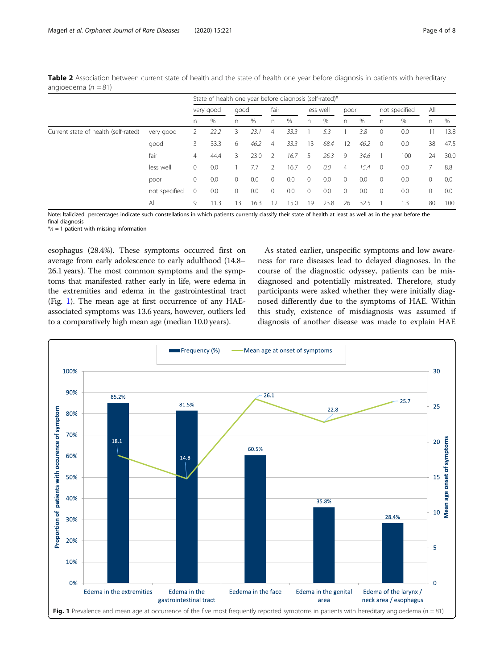<span id="page-3-0"></span>

| Table 2 Association between current state of health and the state of health one year before diagnosis in patients with hereditary |  |  |  |
|-----------------------------------------------------------------------------------------------------------------------------------|--|--|--|
| angioedema ( $n = 81$ )                                                                                                           |  |  |  |

|                                      |               | State of health one year before diagnosis (self-rated)* |      |         |      |               |      |                |      |                |      |               |     |          |      |
|--------------------------------------|---------------|---------------------------------------------------------|------|---------|------|---------------|------|----------------|------|----------------|------|---------------|-----|----------|------|
|                                      |               | very good                                               |      | good    |      | fair          |      | less well      |      | poor           |      | not specified |     | All      |      |
|                                      |               | n                                                       | $\%$ | n.      | $\%$ | n.            | %    | n.             | %    | n.             | $\%$ | n             | %   | n        | %    |
| Current state of health (self-rated) | very good     |                                                         | 22.2 | 3       | 23.1 | 4             | 33.3 |                | 5.3  |                | 3.8  | 0             | 0.0 | 11       | 13.8 |
|                                      | good          | 3                                                       | 33.3 | 6       | 46.2 | 4             | 33.3 | 13             | 68.4 | 12             | 46.2 | $\Omega$      | 0.0 | 38       | 47.5 |
|                                      | fair          | 4                                                       | 44.4 | 3       | 23.0 | $\mathcal{P}$ | 16.7 | 5.             | 26.3 | 9              | 34.6 |               | 100 | 24       | 30.0 |
|                                      | less well     | 0                                                       | 0.0  |         | 7.7  | 2             | 16.7 | $\overline{0}$ | 0.0  | $\overline{4}$ | 15.4 | $\Omega$      | 0.0 | 7.       | 8.8  |
|                                      | poor          | 0                                                       | 0.0  | $\circ$ | 0.0  | $\mathbf{0}$  | 0.0  | $\circ$        | 0.0  | $\mathbf{0}$   | 0.0  | $\Omega$      | 0.0 | $\Omega$ | 0.0  |
|                                      | not specified | $\Omega$                                                | 0.0  | $\circ$ | 0.0  | 0             | 0.0  | $\overline{0}$ | 0.0  | $\circ$        | 0.0  | $\Omega$      | 0.0 | 0        | 0.0  |
|                                      | All           | 9                                                       | 11.3 | 3       | 16.3 | 12            | 15.0 | 19             | 23.8 | 26             | 32.5 |               | 1.3 | 80       | 100  |

Note: Italicized percentages indicate such constellations in which patients currently classify their state of health at least as well as in the year before the final diagnosis

 $*n = 1$  patient with missing information

esophagus (28.4%). These symptoms occurred first on average from early adolescence to early adulthood (14.8– 26.1 years). The most common symptoms and the symptoms that manifested rather early in life, were edema in the extremities and edema in the gastrointestinal tract (Fig. 1). The mean age at first occurrence of any HAEassociated symptoms was 13.6 years, however, outliers led to a comparatively high mean age (median 10.0 years).

As stated earlier, unspecific symptoms and low awareness for rare diseases lead to delayed diagnoses. In the course of the diagnostic odyssey, patients can be misdiagnosed and potentially mistreated. Therefore, study participants were asked whether they were initially diagnosed differently due to the symptoms of HAE. Within this study, existence of misdiagnosis was assumed if diagnosis of another disease was made to explain HAE

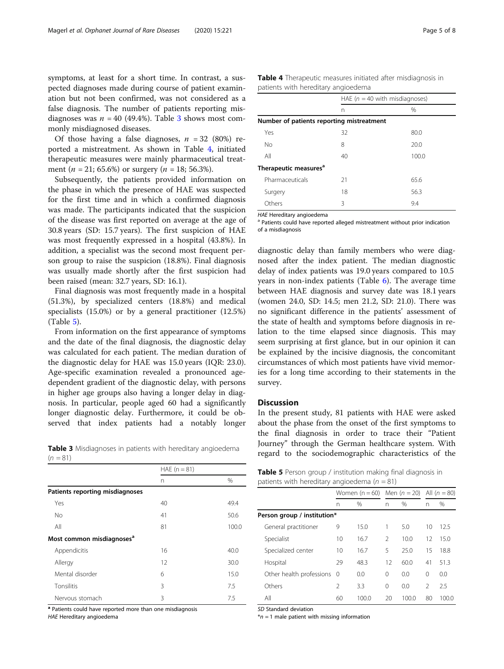symptoms, at least for a short time. In contrast, a suspected diagnoses made during course of patient examination but not been confirmed, was not considered as a false diagnosis. The number of patients reporting misdiagnoses was  $n = 40$  (49.4%). Table 3 shows most commonly misdiagnosed diseases.

Of those having a false diagnoses,  $n = 32$  (80%) reported a mistreatment. As shown in Table 4, initiated therapeutic measures were mainly pharmaceutical treatment (*n* = 21; 65.6%) or surgery (*n* = 18; 56.3%).

Subsequently, the patients provided information on the phase in which the presence of HAE was suspected for the first time and in which a confirmed diagnosis was made. The participants indicated that the suspicion of the disease was first reported on average at the age of 30.8 years (SD: 15.7 years). The first suspicion of HAE was most frequently expressed in a hospital (43.8%). In addition, a specialist was the second most frequent person group to raise the suspicion (18.8%). Final diagnosis was usually made shortly after the first suspicion had been raised (mean: 32.7 years, SD: 16.1).

Final diagnosis was most frequently made in a hospital (51.3%), by specialized centers (18.8%) and medical specialists (15.0%) or by a general practitioner (12.5%) (Table 5).

From information on the first appearance of symptoms and the date of the final diagnosis, the diagnostic delay was calculated for each patient. The median duration of the diagnostic delay for HAE was 15.0 years (IQR: 23.0). Age-specific examination revealed a pronounced agedependent gradient of the diagnostic delay, with persons in higher age groups also having a longer delay in diagnosis. In particular, people aged 60 had a significantly longer diagnostic delay. Furthermore, it could be observed that index patients had a notably longer

 $(n = 81)$ 

|                                       | HAE $(n = 81)$ |       |
|---------------------------------------|----------------|-------|
|                                       | n              | $\%$  |
| Patients reporting misdiagnoses       |                |       |
| Yes                                   | 40             | 49.4  |
| No                                    | 41             | 50.6  |
| All                                   | 81             | 100.0 |
| Most common misdiagnoses <sup>a</sup> |                |       |
| Appendicitis                          | 16             | 40.0  |
| Allergy                               | 12             | 30.0  |
| Mental disorder                       | 6              | 15.0  |
| <b>Tonsilitis</b>                     | 3              | 7.5   |
| Nervous stomach                       | 3              | 7.5   |

a Patients could have reported more than one misdiagnosis

HAE Hereditary angioedema

Table 4 Therapeutic measures initiated after misdiagnosis in patients with hereditary angioedema

|                                           | HAE ( $n = 40$ with misdiagnoses) |       |  |  |
|-------------------------------------------|-----------------------------------|-------|--|--|
|                                           | n                                 | $\%$  |  |  |
| Number of patients reporting mistreatment |                                   |       |  |  |
| Yes                                       | 32                                | 80.0  |  |  |
| No                                        | 8                                 | 20.0  |  |  |
| All                                       | 40                                | 100.0 |  |  |
| Therapeutic measures <sup>a</sup>         |                                   |       |  |  |
| Pharmaceuticals                           | 21                                | 65.6  |  |  |
| Surgery                                   | 18                                | 56.3  |  |  |
| Others                                    | 3                                 | 9.4   |  |  |

HAE Hereditary angioedema<br><sup>a</sup> Patients could have reported alleged mistreatment without prior indication of a misdiagnosis

diagnostic delay than family members who were diagnosed after the index patient. The median diagnostic delay of index patients was 19.0 years compared to 10.5 years in non-index patients (Table [6](#page-5-0)). The average time between HAE diagnosis and survey date was 18.1 years (women 24.0, SD: 14.5; men 21.2, SD: 21.0). There was no significant difference in the patients' assessment of the state of health and symptoms before diagnosis in relation to the time elapsed since diagnosis. This may seem surprising at first glance, but in our opinion it can be explained by the incisive diagnosis, the concomitant circumstances of which most patients have vivid memories for a long time according to their statements in the survey.

#### **Discussion**

In the present study, 81 patients with HAE were asked about the phase from the onset of the first symptoms to the final diagnosis in order to trace their "Patient Journey" through the German healthcare system. With Table 3 Misdiagnoses in patients with hereditary angioedema<br>regard to the sociodemographic characteristics of the

Table 5 Person group / institution making final diagnosis in patients with hereditary angioedema ( $n = 81$ )

|                             | Women $(n = 60)$ Men $(n = 20)$ All $(n = 80)$ |       |               |       |                |       |  |
|-----------------------------|------------------------------------------------|-------|---------------|-------|----------------|-------|--|
|                             | n                                              | $\%$  | n             | $\%$  | n              | %     |  |
| Person group / institution* |                                                |       |               |       |                |       |  |
| General practitioner        | 9                                              | 15.0  | 1             | 5.0   | 10             | 12.5  |  |
| Specialist                  | 10                                             | 16.7  | $\mathcal{L}$ | 10.0  | 12             | 15.0  |  |
| Specialized center          | 10                                             | 16.7  | 5             | 25.0  | 15             | 18.8  |  |
| Hospital                    | 29                                             | 48.3  | 12            | 60.0  | 41             | 51.3  |  |
| Other health professions 0  |                                                | 0.0   | $\Omega$      | 0.0   | $\Omega$       | 0.0   |  |
| Others                      | $\mathcal{P}$                                  | 3.3   | $\Omega$      | 0.0   | $\mathfrak{D}$ | 2.5   |  |
| All                         | 60                                             | 100.0 | 20            | 100.0 | 80             | 100.0 |  |

SD Standard deviation

 $*n = 1$  male patient with missing information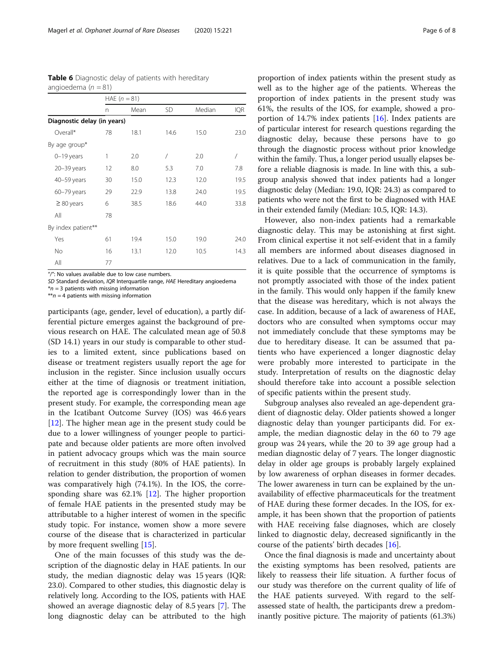<span id="page-5-0"></span>

| <b>Table 6</b> Diagnostic delay of patients with hereditary |  |  |
|-------------------------------------------------------------|--|--|
| angioedema ( $n = 81$ )                                     |  |  |

|                             |    | HAE $(n = 81)$ |           |        |            |  |  |  |  |
|-----------------------------|----|----------------|-----------|--------|------------|--|--|--|--|
|                             | n  | Mean           | <b>SD</b> | Median | IQR        |  |  |  |  |
| Diagnostic delay (in years) |    |                |           |        |            |  |  |  |  |
| Overall*                    | 78 | 18.1           | 14.6      | 15.0   | 23.0       |  |  |  |  |
| By age group*               |    |                |           |        |            |  |  |  |  |
| $0-19$ years                | 1  | 2.0            | $\prime$  | 2.0    | $\sqrt{2}$ |  |  |  |  |
| $20 - 39$ years             | 12 | 8.0            | 5.3       | 7.0    | 7.8        |  |  |  |  |
| 40-59 years                 | 30 | 15.0           | 12.3      | 12.0   | 19.5       |  |  |  |  |
| 60-79 years                 | 29 | 22.9           | 13.8      | 74.0   | 19.5       |  |  |  |  |
| $\geq 80$ years             | 6  | 38.5           | 18.6      | 44.0   | 33.8       |  |  |  |  |
| All                         | 78 |                |           |        |            |  |  |  |  |
| By index patient**          |    |                |           |        |            |  |  |  |  |
| Yes                         | 61 | 19.4           | 15.0      | 19.0   | 24.0       |  |  |  |  |
| No.                         | 16 | 13.1           | 12.0      | 10.5   | 14.3       |  |  |  |  |
| All                         | 77 |                |           |        |            |  |  |  |  |

"/": No values available due to low case numbers.

SD Standard deviation, IQR Interquartile range, HAE Hereditary angioedema

 $*$ n = 3 patients with missing information

 $**n = 4$  patients with missing information

participants (age, gender, level of education), a partly differential picture emerges against the background of previous research on HAE. The calculated mean age of 50.8 (SD 14.1) years in our study is comparable to other studies to a limited extent, since publications based on disease or treatment registers usually report the age for inclusion in the register. Since inclusion usually occurs either at the time of diagnosis or treatment initiation, the reported age is correspondingly lower than in the present study. For example, the corresponding mean age in the Icatibant Outcome Survey (IOS) was 46.6 years [[12\]](#page-7-0). The higher mean age in the present study could be due to a lower willingness of younger people to participate and because older patients are more often involved in patient advocacy groups which was the main source of recruitment in this study (80% of HAE patients). In relation to gender distribution, the proportion of women was comparatively high (74.1%). In the IOS, the corresponding share was 62.1% [[12](#page-7-0)]. The higher proportion of female HAE patients in the presented study may be attributable to a higher interest of women in the specific study topic. For instance, women show a more severe course of the disease that is characterized in particular by more frequent swelling [[15\]](#page-7-0).

One of the main focusses of this study was the description of the diagnostic delay in HAE patients. In our study, the median diagnostic delay was 15 years (IQR: 23.0). Compared to other studies, this diagnostic delay is relatively long. According to the IOS, patients with HAE showed an average diagnostic delay of 8.5 years [[7](#page-7-0)]. The long diagnostic delay can be attributed to the high proportion of index patients within the present study as well as to the higher age of the patients. Whereas the proportion of index patients in the present study was 61%, the results of the IOS, for example, showed a proportion of 14.7% index patients [[16\]](#page-7-0). Index patients are of particular interest for research questions regarding the diagnostic delay, because these persons have to go through the diagnostic process without prior knowledge within the family. Thus, a longer period usually elapses before a reliable diagnosis is made. In line with this, a subgroup analysis showed that index patients had a longer diagnostic delay (Median: 19.0, IQR: 24.3) as compared to patients who were not the first to be diagnosed with HAE in their extended family (Median: 10.5, IQR: 14.3).

However, also non-index patients had a remarkable diagnostic delay. This may be astonishing at first sight. From clinical expertise it not self-evident that in a family all members are informed about diseases diagnosed in relatives. Due to a lack of communication in the family, it is quite possible that the occurrence of symptoms is not promptly associated with those of the index patient in the family. This would only happen if the family knew that the disease was hereditary, which is not always the case. In addition, because of a lack of awareness of HAE, doctors who are consulted when symptoms occur may not immediately conclude that these symptoms may be due to hereditary disease. It can be assumed that patients who have experienced a longer diagnostic delay were probably more interested to participate in the study. Interpretation of results on the diagnostic delay should therefore take into account a possible selection of specific patients within the present study.

Subgroup analyses also revealed an age-dependent gradient of diagnostic delay. Older patients showed a longer diagnostic delay than younger participants did. For example, the median diagnostic delay in the 60 to 79 age group was 24 years, while the 20 to 39 age group had a median diagnostic delay of 7 years. The longer diagnostic delay in older age groups is probably largely explained by low awareness of orphan diseases in former decades. The lower awareness in turn can be explained by the unavailability of effective pharmaceuticals for the treatment of HAE during these former decades. In the IOS, for example, it has been shown that the proportion of patients with HAE receiving false diagnoses, which are closely linked to diagnostic delay, decreased significantly in the course of the patients' birth decades [[16\]](#page-7-0).

Once the final diagnosis is made and uncertainty about the existing symptoms has been resolved, patients are likely to reassess their life situation. A further focus of our study was therefore on the current quality of life of the HAE patients surveyed. With regard to the selfassessed state of health, the participants drew a predominantly positive picture. The majority of patients (61.3%)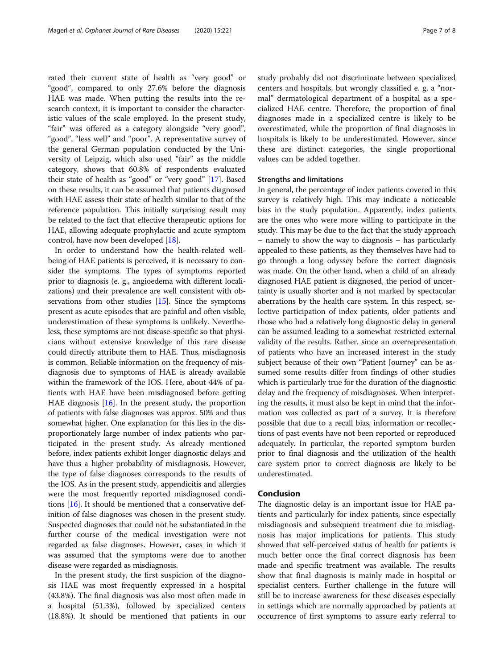rated their current state of health as "very good" or "good", compared to only 27.6% before the diagnosis HAE was made. When putting the results into the research context, it is important to consider the characteristic values of the scale employed. In the present study, "fair" was offered as a category alongside "very good", "good", "less well" and "poor". A representative survey of the general German population conducted by the University of Leipzig, which also used "fair" as the middle category, shows that 60.8% of respondents evaluated their state of health as "good" or "very good" [[17\]](#page-7-0). Based on these results, it can be assumed that patients diagnosed with HAE assess their state of health similar to that of the reference population. This initially surprising result may be related to the fact that effective therapeutic options for HAE, allowing adequate prophylactic and acute symptom control, have now been developed [\[18](#page-7-0)].

In order to understand how the health-related wellbeing of HAE patients is perceived, it is necessary to consider the symptoms. The types of symptoms reported prior to diagnosis (e. g., angioedema with different localizations) and their prevalence are well consistent with observations from other studies [[15](#page-7-0)]. Since the symptoms present as acute episodes that are painful and often visible, underestimation of these symptoms is unlikely. Nevertheless, these symptoms are not disease-specific so that physicians without extensive knowledge of this rare disease could directly attribute them to HAE. Thus, misdiagnosis is common. Reliable information on the frequency of misdiagnosis due to symptoms of HAE is already available within the framework of the IOS. Here, about 44% of patients with HAE have been misdiagnosed before getting HAE diagnosis [[16](#page-7-0)]. In the present study, the proportion of patients with false diagnoses was approx. 50% and thus somewhat higher. One explanation for this lies in the disproportionately large number of index patients who participated in the present study. As already mentioned before, index patients exhibit longer diagnostic delays and have thus a higher probability of misdiagnosis. However, the type of false diagnoses corresponds to the results of the IOS. As in the present study, appendicitis and allergies were the most frequently reported misdiagnosed conditions [\[16\]](#page-7-0). It should be mentioned that a conservative definition of false diagnoses was chosen in the present study. Suspected diagnoses that could not be substantiated in the further course of the medical investigation were not regarded as false diagnoses. However, cases in which it was assumed that the symptoms were due to another disease were regarded as misdiagnosis.

In the present study, the first suspicion of the diagnosis HAE was most frequently expressed in a hospital (43.8%). The final diagnosis was also most often made in a hospital (51.3%), followed by specialized centers (18.8%). It should be mentioned that patients in our study probably did not discriminate between specialized centers and hospitals, but wrongly classified e. g. a "normal" dermatological department of a hospital as a specialized HAE centre. Therefore, the proportion of final diagnoses made in a specialized centre is likely to be overestimated, while the proportion of final diagnoses in hospitals is likely to be underestimated. However, since these are distinct categories, the single proportional values can be added together.

# Strengths and limitations

In general, the percentage of index patients covered in this survey is relatively high. This may indicate a noticeable bias in the study population. Apparently, index patients are the ones who were more willing to participate in the study. This may be due to the fact that the study approach – namely to show the way to diagnosis – has particularly appealed to these patients, as they themselves have had to go through a long odyssey before the correct diagnosis was made. On the other hand, when a child of an already diagnosed HAE patient is diagnosed, the period of uncertainty is usually shorter and is not marked by spectacular aberrations by the health care system. In this respect, selective participation of index patients, older patients and those who had a relatively long diagnostic delay in general can be assumed leading to a somewhat restricted external validity of the results. Rather, since an overrepresentation of patients who have an increased interest in the study subject because of their own "Patient Journey" can be assumed some results differ from findings of other studies which is particularly true for the duration of the diagnostic delay and the frequency of misdiagnoses. When interpreting the results, it must also be kept in mind that the information was collected as part of a survey. It is therefore possible that due to a recall bias, information or recollections of past events have not been reported or reproduced adequately. In particular, the reported symptom burden prior to final diagnosis and the utilization of the health care system prior to correct diagnosis are likely to be underestimated.

# Conclusion

The diagnostic delay is an important issue for HAE patients and particularly for index patients, since especially misdiagnosis and subsequent treatment due to misdiagnosis has major implications for patients. This study showed that self-perceived status of health for patients is much better once the final correct diagnosis has been made and specific treatment was available. The results show that final diagnosis is mainly made in hospital or specialist centers. Further challenge in the future will still be to increase awareness for these diseases especially in settings which are normally approached by patients at occurrence of first symptoms to assure early referral to